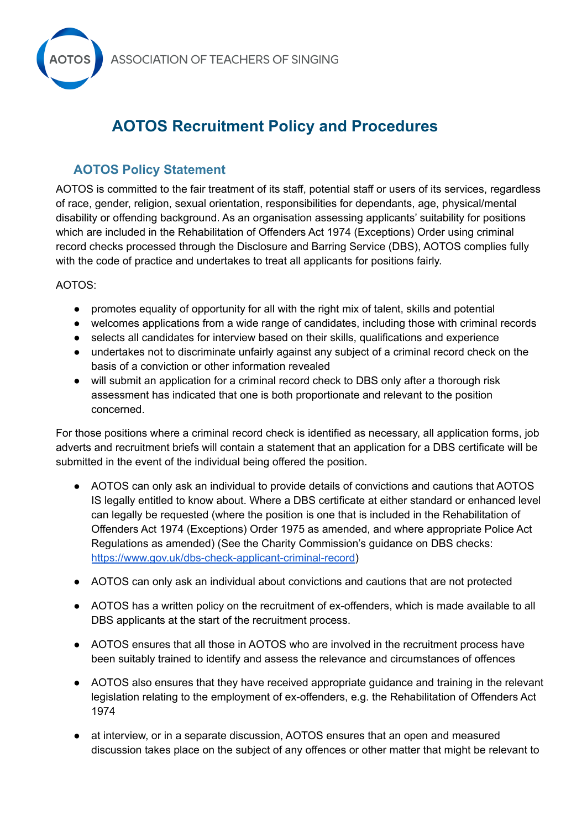

## **AOTOS Recruitment Policy and Procedures**

## **AOTOS Policy Statement**

AOTOS is committed to the fair treatment of its staff, potential staff or users of its services, regardless of race, gender, religion, sexual orientation, responsibilities for dependants, age, physical/mental disability or offending background. As an organisation assessing applicants' suitability for positions which are included in the Rehabilitation of Offenders Act 1974 (Exceptions) Order using criminal record checks processed through the Disclosure and Barring Service (DBS), AOTOS complies fully with the code of practice and undertakes to treat all applicants for positions fairly.

## AOTOS:

- promotes equality of opportunity for all with the right mix of talent, skills and potential
- welcomes applications from a wide range of candidates, including those with criminal records
- selects all candidates for interview based on their skills, qualifications and experience
- undertakes not to discriminate unfairly against any subject of a criminal record check on the basis of a conviction or other information revealed
- will submit an application for a criminal record check to DBS only after a thorough risk assessment has indicated that one is both proportionate and relevant to the position concerned.

For those positions where a criminal record check is identified as necessary, all application forms, job adverts and recruitment briefs will contain a statement that an application for a DBS certificate will be submitted in the event of the individual being offered the position.

- AOTOS can only ask an individual to provide details of convictions and cautions that AOTOS IS legally entitled to know about. Where a DBS certificate at either standard or enhanced level can legally be requested (where the position is one that is included in the Rehabilitation of Offenders Act 1974 (Exceptions) Order 1975 as amended, and where appropriate Police Act Regulations as amended) (See the Charity Commission's guidance on DBS checks: [https://www.gov.uk/dbs-check-applicant-criminal-record\)](https://www.gov.uk/dbs-check-applicant-criminal-record)
- AOTOS can only ask an individual about convictions and cautions that are not protected
- AOTOS has a written policy on the recruitment of ex-offenders, which is made available to all DBS applicants at the start of the recruitment process.
- AOTOS ensures that all those in AOTOS who are involved in the recruitment process have been suitably trained to identify and assess the relevance and circumstances of offences
- AOTOS also ensures that they have received appropriate guidance and training in the relevant legislation relating to the employment of ex-offenders, e.g. the Rehabilitation of Offenders Act 1974
- at interview, or in a separate discussion, AOTOS ensures that an open and measured discussion takes place on the subject of any offences or other matter that might be relevant to